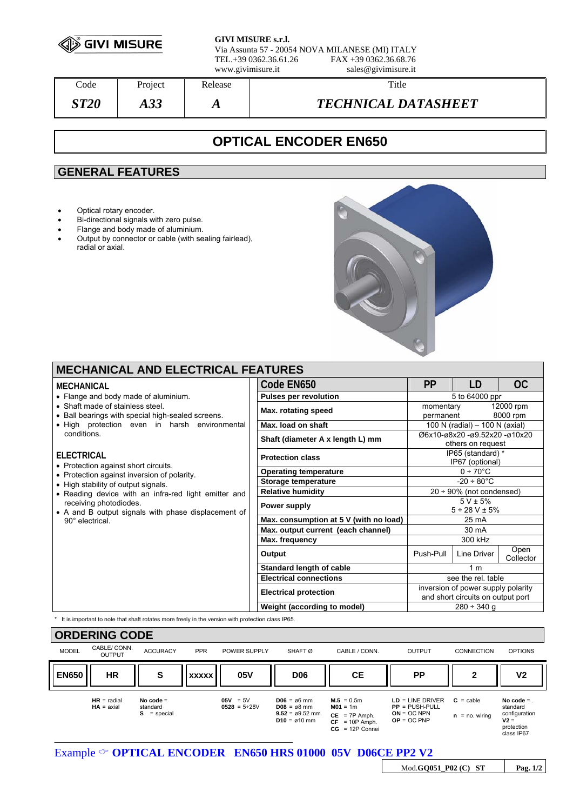

**GIVI MISURE s.r.l.** Via Assunta 57 - 20054 NOVA MILANESE (MI) ITALY

TEL.+39 0362.36.61.26 FAX +39 0362.36.68.76 www.givimisure.it sales@givimisure.it

Code Project Release Number 2016 *ST20 A33 A TECHNICAL DATASHEET* 

# **OPTICAL ENCODER EN650**

## **GENERAL FEATURES**

- Optical rotary encoder.
- Bi-directional signals with zero pulse.
- Flange and body made of aluminium.
- Output by connector or cable (with sealing fairlead), radial or axial.



### **MECHANICAL AND ELECTRICAL FEATURES**

#### **MECHANICAL**

- Flange and body made of aluminium.
- Shaft made of stainless steel.
- Ball bearings with special high-sealed screens.
- High protection even in harsh environmer conditions.

### **ELECTRICAL**

- Protection against short circuits.
- Protection against inversion of polarity.
- High stability of output signals.
- $\bullet$  Reading device with an infra-red light emitter a receiving photodiodes.
- A and B output signals with phase displacement 90° electrical.

| Code EN650                             | <b>PP</b>                          | I D                            | <b>OC</b> |
|----------------------------------------|------------------------------------|--------------------------------|-----------|
| <b>Pulses per revolution</b>           | 5 to 64000 ppr                     |                                |           |
| Max. rotating speed                    | 12000 rpm<br>momentary             |                                |           |
|                                        | 8000 rpm<br>permanent              |                                |           |
| Max. load on shaft                     |                                    | 100 N (radial) - 100 N (axial) |           |
| Shaft (diameter A x length L) mm       | Ø6x10-ø8x20 -ø9.52x20 -ø10x20      |                                |           |
|                                        | others on request                  |                                |           |
| <b>Protection class</b>                | IP65 (standard) *                  |                                |           |
|                                        | IP67 (optional)                    |                                |           |
| <b>Operating temperature</b>           | $0 \div 70^{\circ}$ C              |                                |           |
| Storage temperature                    | $-20 \div 80^{\circ}$ C            |                                |           |
| <b>Relative humidity</b>               | $20 \div 90\%$ (not condensed)     |                                |           |
| Power supply                           | $5 V \pm 5%$                       |                                |           |
|                                        | $5 \div 28$ V $\pm$ 5%             |                                |           |
| Max. consumption at 5 V (with no load) | 25 mA                              |                                |           |
| Max. output current (each channel)     | 30 mA                              |                                |           |
| Max. frequency                         | 300 kHz                            |                                |           |
| Output                                 | Push-Pull                          | Line Driver                    | Open      |
|                                        |                                    |                                | Collector |
| Standard length of cable               | 1 <sub>m</sub>                     |                                |           |
| <b>Electrical connections</b>          | see the rel. table                 |                                |           |
| <b>Electrical protection</b>           | inversion of power supply polarity |                                |           |
|                                        | and short circuits on output port  |                                |           |
| Weight (according to model)            | $280 \div 340$ q                   |                                |           |

It is important to note that shaft rotates more freely in the version with protection class IP65.



### Example  $\circ$  **OPTICAL ENCODER EN650 HRS 01000 05V D06CE PP2 V2**

Mod.**GQ051\_P02 (C) ST Pag. 1/2**